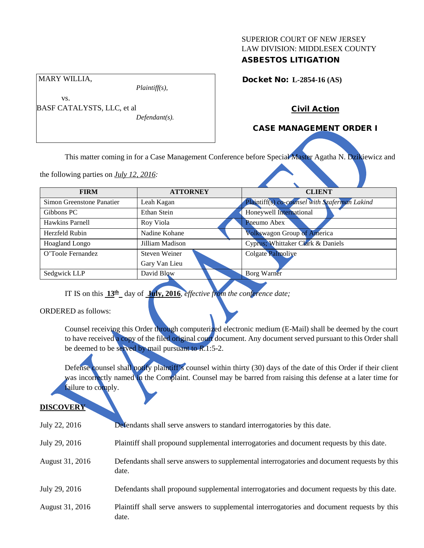## SUPERIOR COURT OF NEW JERSEY LAW DIVISION: MIDDLESEX COUNTY ASBESTOS LITIGATION

Docket No: **L-2854-16 (AS)** 

Civil Action

## CASE MANAGEMENT ORDER I

This matter coming in for a Case Management Conference before Special Master Agatha N. Dzikiewicz and

the following parties on *July 12, 2016:*

MARY WILLIA,

vs.

BASF CATALYSTS, LLC, et al

| <b>FIRM</b>               | <b>ATTORNEY</b>      | <b>CLIENT</b>                                 |
|---------------------------|----------------------|-----------------------------------------------|
| Simon Greenstone Panatier | Leah Kagan           | Plaintiff(s) co-counsel with Szaferman Lakind |
| Gibbons PC                | Ethan Stein          | Honeywell International                       |
| Hawkins Parnell           | Roy Viola            | <b>Pneumo</b> Abex                            |
| Herzfeld Rubin            | Nadine Kohane        | Volkswagon Group of America                   |
| Hoagland Longo            | Jilliam Madison      | Cyprus; Whittaker Clark & Daniels             |
| O'Toole Fernandez         | <b>Steven Weiner</b> | Colgate Palmoliye                             |
|                           | Gary Van Lieu        |                                               |
| Sedgwick LLP              | David Blow           | <b>Borg Warner</b>                            |
|                           |                      |                                               |

IT IS on this **13th** day of **July, 2016**, *effective from the conference date;*

*Plaintiff(s),*

*Defendant(s).*

ORDERED as follows:

Counsel receiving this Order through computerized electronic medium (E-Mail) shall be deemed by the court to have received a copy of the filed original court document. Any document served pursuant to this Order shall be deemed to be served by mail pursuant to *R*.1:5-2.

Defense counsel shall notify plaintiff's counsel within thirty (30) days of the date of this Order if their client was incorrectly named in the Complaint. Counsel may be barred from raising this defense at a later time for failure to comply.

#### **DISCOVERY**

| July 22, 2016   | Defendants shall serve answers to standard interrogatories by this date.                              |
|-----------------|-------------------------------------------------------------------------------------------------------|
| July 29, 2016   | Plaintiff shall propound supplemental interrogatories and document requests by this date.             |
| August 31, 2016 | Defendants shall serve answers to supplemental interrogatories and document requests by this<br>date. |
| July 29, 2016   | Defendants shall propound supplemental interrogatories and document requests by this date.            |
| August 31, 2016 | Plaintiff shall serve answers to supplemental interrogatories and document requests by this<br>date.  |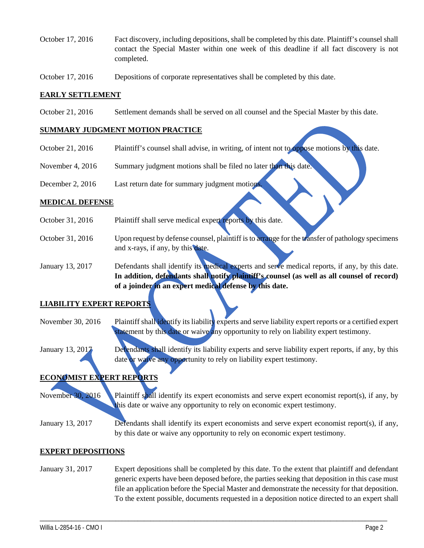- October 17, 2016 Fact discovery, including depositions, shall be completed by this date. Plaintiff's counsel shall contact the Special Master within one week of this deadline if all fact discovery is not completed.
- October 17, 2016 Depositions of corporate representatives shall be completed by this date.

### **EARLY SETTLEMENT**

October 21, 2016 Settlement demands shall be served on all counsel and the Special Master by this date.

#### **SUMMARY JUDGMENT MOTION PRACTICE**

- October 21, 2016 Plaintiff's counsel shall advise, in writing, of intent not to oppose motions by this date.
- November 4, 2016 Summary judgment motions shall be filed no later than this date.
- December 2, 2016 Last return date for summary judgment motions

#### **MEDICAL DEFENSE**

- October 31, 2016 Plaintiff shall serve medical expert reports by this date.
- October 31, 2016 Upon request by defense counsel, plaintiff is to arrange for the transfer of pathology specimens and x-rays, if any, by this date.

January 13, 2017 Defendants shall identify its medical experts and serve medical reports, if any, by this date. **In addition, defendants shall notify plaintiff's counsel (as well as all counsel of record) of a joinder in an expert medical defense by this date.**

### **LIABILITY EXPERT REPORTS**

- November 30, 2016 Plaintiff shall identify its liability experts and serve liability expert reports or a certified expert statement by this date or waive any opportunity to rely on liability expert testimony.
- January 13, 2017 Defendants shall identify its liability experts and serve liability expert reports, if any, by this date or waive any opportunity to rely on liability expert testimony.

# **ECONOMIST EXPERT REPORTS**

November 30, 2016 Plaintiff shall identify its expert economists and serve expert economist report(s), if any, by this date or waive any opportunity to rely on economic expert testimony.

January 13, 2017 Defendants shall identify its expert economists and serve expert economist report(s), if any, by this date or waive any opportunity to rely on economic expert testimony.

### **EXPERT DEPOSITIONS**

January 31, 2017 Expert depositions shall be completed by this date. To the extent that plaintiff and defendant generic experts have been deposed before, the parties seeking that deposition in this case must file an application before the Special Master and demonstrate the necessity for that deposition. To the extent possible, documents requested in a deposition notice directed to an expert shall

\_\_\_\_\_\_\_\_\_\_\_\_\_\_\_\_\_\_\_\_\_\_\_\_\_\_\_\_\_\_\_\_\_\_\_\_\_\_\_\_\_\_\_\_\_\_\_\_\_\_\_\_\_\_\_\_\_\_\_\_\_\_\_\_\_\_\_\_\_\_\_\_\_\_\_\_\_\_\_\_\_\_\_\_\_\_\_\_\_\_\_\_\_\_\_\_\_\_\_\_\_\_\_\_\_\_\_\_\_\_